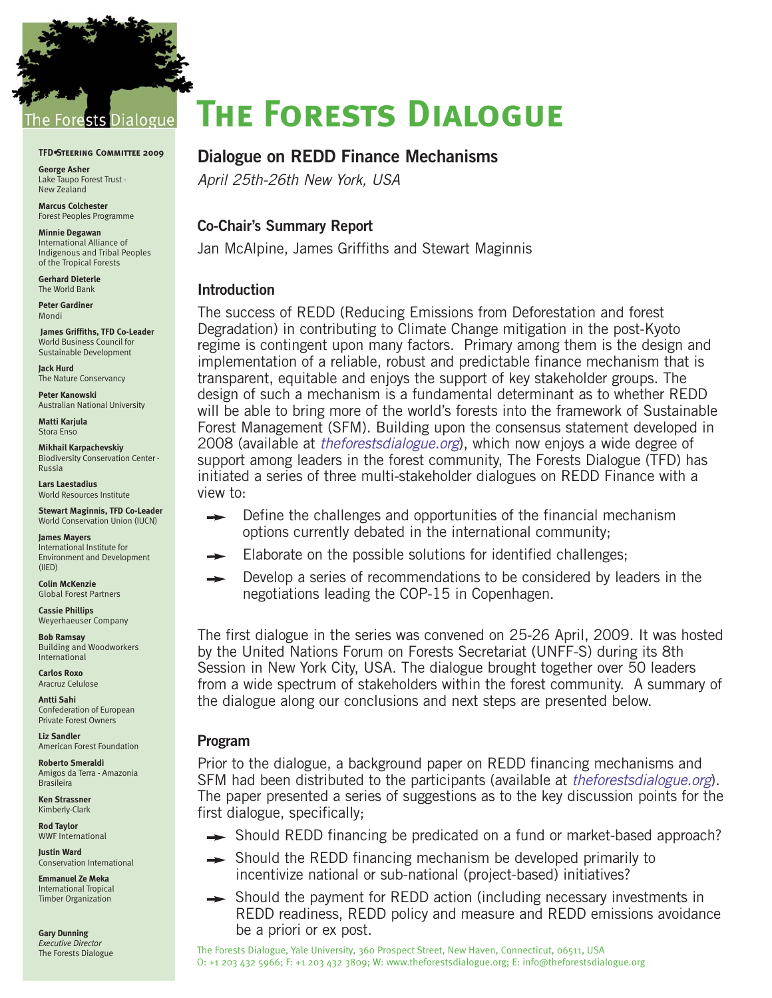

#### **TFD•Steering Committee 2009**

**George Asher** Lake Taupo Forest Trust - New Zealand

**Marcus Colchester** Forest Peoples Programme

**Minnie Degawan** International Alliance of Indigenous and Tribal Peoples of the Tropical Forests

**Gerhard Dieterle** The World Bank

**Peter Gardiner** Mondi

**James Griffiths, TFD Co-Leader** World Business Council for Sustainable Development

**Jack Hurd**  The Nature Conservancy

**Peter Kanowski**  Australian National University

**Matti Karjula**  Stora Enso

**Mikhail Karpachevskiy** Biodiversity Conservation Center - Russia

**Lars Laestadius**  World Resources Institute

**Stewart Maginnis, TFD Co-Leader** World Conservation Union (IUCN)

**James Mayers**  International Institute for Environment and Development (IIED)

**Colin McKenzie** Global Forest Partners

**Cassie Phillips** Weyerhaeuser Company

**Bob Ramsay** Building and Woodworkers International

**Carlos Roxo** Aracruz Celulose

**Antti Sahi**  Confederation of European Private Forest Owners

**Liz Sandler**  American Forest Foundation

**Roberto Smeraldi** Amigos da Terra - Amazonia Brasileira

**Ken Strassner**  Kimberly-Clark

**Rod Taylor** WWF International

**Justin Ward** Conservation International

**Emmanuel Ze Meka** International Tropical Timber Organization

**Gary Dunning** *Executive Director* The Forests Dialogue

# **The Forests Dialogue**

# **Dialogue on REDD Finance Mechanisms**

April 25th-26th New York, USA

## **Co-Chair's Summary Report**

Jan McAlpine, James Griffiths and Stewart Maginnis

## **Introduction**

The success of REDD (Reducing Emissions from Deforestation and forest Degradation) in contributing to Climate Change mitigation in the post-Kyoto regime is contingent upon many factors. Primary among them is the design and implementation of a reliable, robust and predictable finance mechanism that is transparent, equitable and enjoys the support of key stakeholder groups. The design of such a mechanism is a fundamental determinant as to whether REDD will be able to bring more of the world's forests into the framework of Sustainable Forest Management (SFM). Building upon the consensus statement developed in 2008 (available at *theforestsdialogue.org*), which now enjoys a wide degree of support among leaders in the forest community, The Forests Dialogue (TFD) has initiated a series of three multi-stakeholder dialogues on REDD Finance with a view to:

- Define the challenges and opportunities of the financial mechanism  $\rightarrow$ options currently debated in the international community;
- Elaborate on the possible solutions for identified challenges;
- Develop a series of recommendations to be considered by leaders in the  $\rightarrow$ negotiations leading the COP-15 in Copenhagen.

The first dialogue in the series was convened on 25-26 April, 2009. It was hosted by the United Nations Forum on Forests Secretariat (UNFF-S) during its 8th Session in New York City, USA. The dialogue brought together over 50 leaders from a wide spectrum of stakeholders within the forest community. A summary of the dialogue along our conclusions and next steps are presented below.

# **Program**

Prior to the dialogue, a background paper on REDD financing mechanisms and SFM had been distributed to the participants (available at theforestsdialogue.org). The paper presented a series of suggestions as to the key discussion points for the first dialogue, specifically;

- **→** Should REDD financing be predicated on a fund or market-based approach?
- $\rightarrow$  Should the REDD financing mechanism be developed primarily to incentivize national or sub-national (project-based) initiatives?
- $\rightarrow$  Should the payment for REDD action (including necessary investments in REDD readiness, REDD policy and measure and REDD emissions avoidance be a priori or ex post.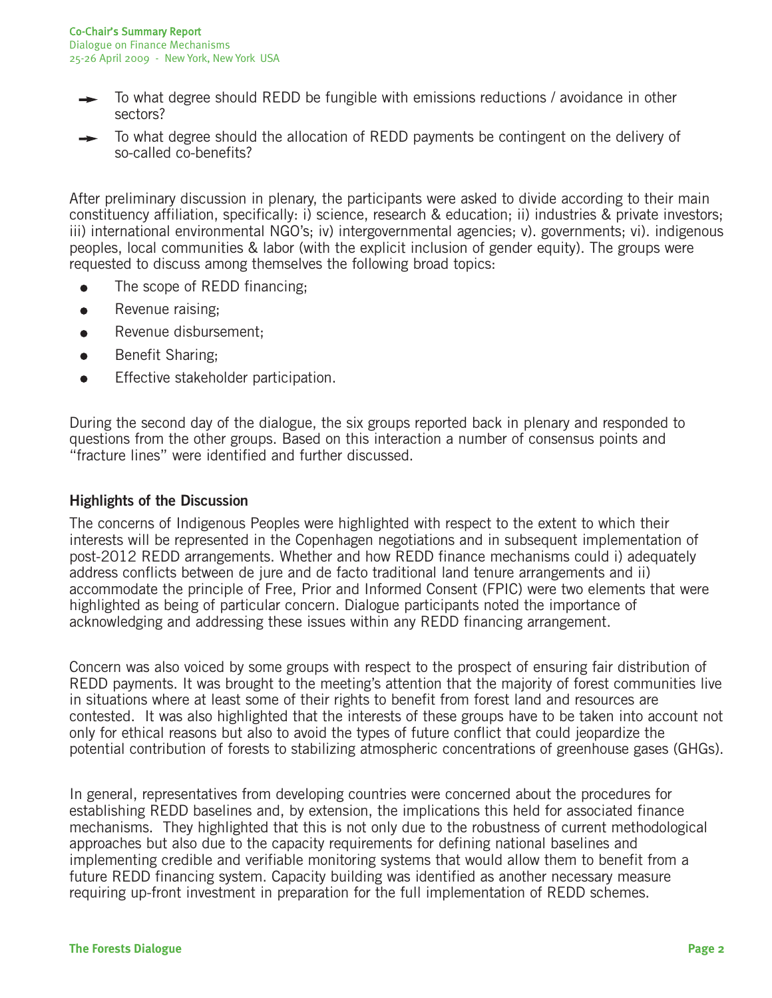- To what degree should REDD be fungible with emissions reductions / avoidance in other sectors?
- To what degree should the allocation of REDD payments be contingent on the delivery of so-called co-benefits?

After preliminary discussion in plenary, the participants were asked to divide according to their main constituency affiliation, specifically: i) science, research & education; ii) industries & private investors; iii) international environmental NGO's; iv) intergovernmental agencies; v). governments; vi). indigenous peoples, local communities & labor (with the explicit inclusion of gender equity). The groups were requested to discuss among themselves the following broad topics:

- The scope of REDD financing;
- $\bullet$ Revenue raising;
- Revenue disbursement;  $\bullet$
- Benefit Sharing;  $\bullet$
- Effective stakeholder participation.  $\bullet$

During the second day of the dialogue, the six groups reported back in plenary and responded to questions from the other groups. Based on this interaction a number of consensus points and "fracture lines" were identified and further discussed.

# **Highlights of the Discussion**

The concerns of Indigenous Peoples were highlighted with respect to the extent to which their interests will be represented in the Copenhagen negotiations and in subsequent implementation of post-2012 REDD arrangements. Whether and how REDD finance mechanisms could i) adequately address conflicts between de jure and de facto traditional land tenure arrangements and ii) accommodate the principle of Free, Prior and Informed Consent (FPIC) were two elements that were highlighted as being of particular concern. Dialogue participants noted the importance of acknowledging and addressing these issues within any REDD financing arrangement.

Concern was also voiced by some groups with respect to the prospect of ensuring fair distribution of REDD payments. It was brought to the meeting's attention that the majority of forest communities live in situations where at least some of their rights to benefit from forest land and resources are contested. It was also highlighted that the interests of these groups have to be taken into account not only for ethical reasons but also to avoid the types of future conflict that could jeopardize the potential contribution of forests to stabilizing atmospheric concentrations of greenhouse gases (GHGs).

In general, representatives from developing countries were concerned about the procedures for establishing REDD baselines and, by extension, the implications this held for associated finance mechanisms. They highlighted that this is not only due to the robustness of current methodological approaches but also due to the capacity requirements for defining national baselines and implementing credible and verifiable monitoring systems that would allow them to benefit from a future REDD financing system. Capacity building was identified as another necessary measure requiring up-front investment in preparation for the full implementation of REDD schemes.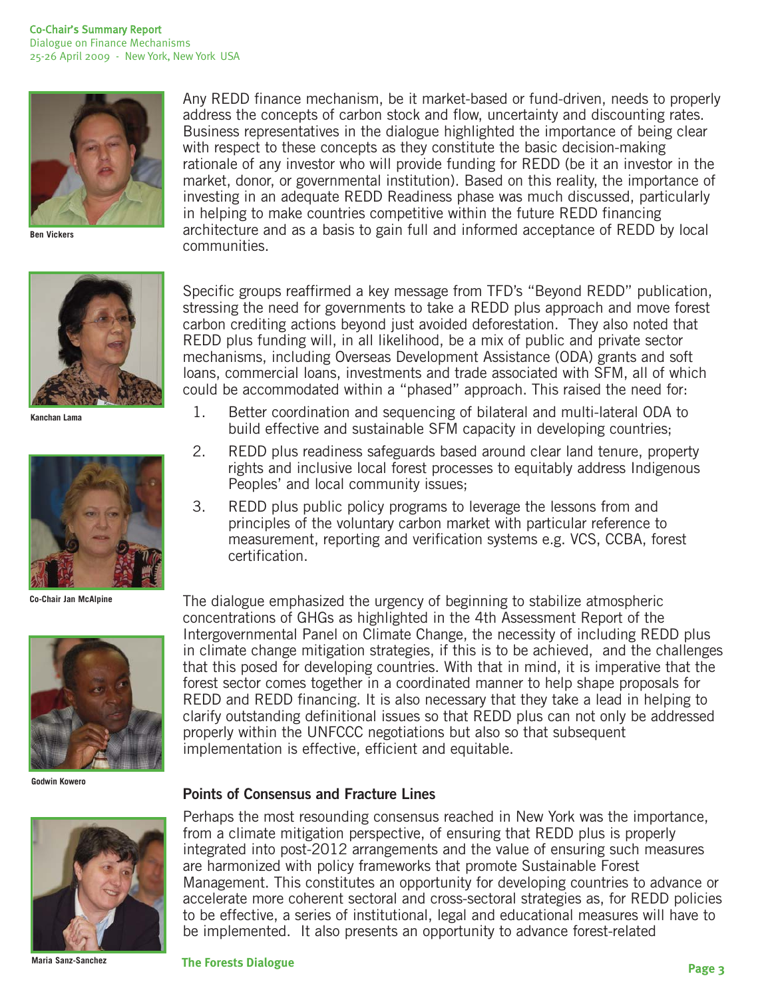

**Ben Vickers**



**Kanchan Lama**



**Co-Chair Jan McAlpine**



**Godwin Kowero**



**Maria Sanz-Sanchez**

Any REDD finance mechanism, be it market-based or fund-driven, needs to properly address the concepts of carbon stock and flow, uncertainty and discounting rates. Business representatives in the dialogue highlighted the importance of being clear with respect to these concepts as they constitute the basic decision-making rationale of any investor who will provide funding for REDD (be it an investor in the market, donor, or governmental institution). Based on this reality, the importance of investing in an adequate REDD Readiness phase was much discussed, particularly in helping to make countries competitive within the future REDD financing architecture and as a basis to gain full and informed acceptance of REDD by local communities.

Specific groups reaffirmed a key message from TFD's "Beyond REDD" publication, stressing the need for governments to take a REDD plus approach and move forest carbon crediting actions beyond just avoided deforestation. They also noted that REDD plus funding will, in all likelihood, be a mix of public and private sector mechanisms, including Overseas Development Assistance (ODA) grants and soft loans, commercial loans, investments and trade associated with SFM, all of which could be accommodated within a "phased" approach. This raised the need for:

- 1. Better coordination and sequencing of bilateral and multi-lateral ODA to build effective and sustainable SFM capacity in developing countries;
- 2. REDD plus readiness safeguards based around clear land tenure, property rights and inclusive local forest processes to equitably address Indigenous Peoples' and local community issues;
- 3. REDD plus public policy programs to leverage the lessons from and principles of the voluntary carbon market with particular reference to measurement, reporting and verification systems e.g. VCS, CCBA, forest certification.

The dialogue emphasized the urgency of beginning to stabilize atmospheric concentrations of GHGs as highlighted in the 4th Assessment Report of the Intergovernmental Panel on Climate Change, the necessity of including REDD plus in climate change mitigation strategies, if this is to be achieved, and the challenges that this posed for developing countries. With that in mind, it is imperative that the forest sector comes together in a coordinated manner to help shape proposals for REDD and REDD financing. It is also necessary that they take a lead in helping to clarify outstanding definitional issues so that REDD plus can not only be addressed properly within the UNFCCC negotiations but also so that subsequent implementation is effective, efficient and equitable.

## **Points of Consensus and Fracture Lines**

Perhaps the most resounding consensus reached in New York was the importance, from a climate mitigation perspective, of ensuring that REDD plus is properly integrated into post-2012 arrangements and the value of ensuring such measures are harmonized with policy frameworks that promote Sustainable Forest Management. This constitutes an opportunity for developing countries to advance or accelerate more coherent sectoral and cross-sectoral strategies as, for REDD policies to be effective, a series of institutional, legal and educational measures will have to be implemented. It also presents an opportunity to advance forest-related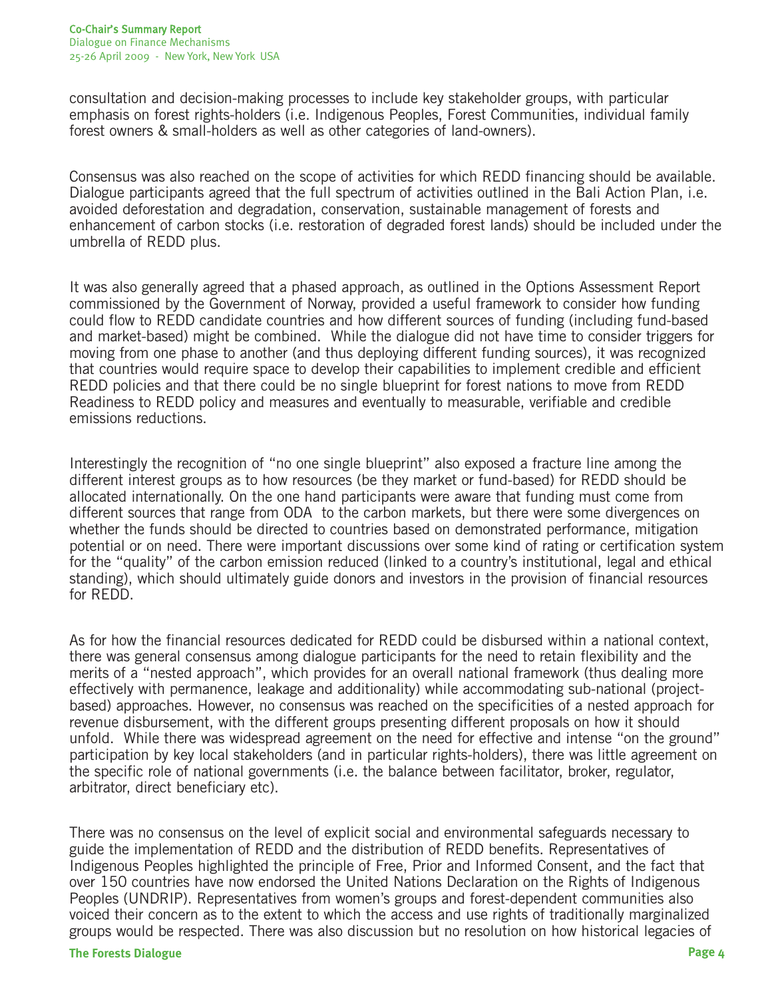consultation and decision-making processes to include key stakeholder groups, with particular emphasis on forest rights-holders (i.e. Indigenous Peoples, Forest Communities, individual family forest owners & small-holders as well as other categories of land-owners).

Consensus was also reached on the scope of activities for which REDD financing should be available. Dialogue participants agreed that the full spectrum of activities outlined in the Bali Action Plan, i.e. avoided deforestation and degradation, conservation, sustainable management of forests and enhancement of carbon stocks (i.e. restoration of degraded forest lands) should be included under the umbrella of REDD plus.

It was also generally agreed that a phased approach, as outlined in the Options Assessment Report commissioned by the Government of Norway, provided a useful framework to consider how funding could flow to REDD candidate countries and how different sources of funding (including fund-based and market-based) might be combined. While the dialogue did not have time to consider triggers for moving from one phase to another (and thus deploying different funding sources), it was recognized that countries would require space to develop their capabilities to implement credible and efficient REDD policies and that there could be no single blueprint for forest nations to move from REDD Readiness to REDD policy and measures and eventually to measurable, verifiable and credible emissions reductions.

Interestingly the recognition of "no one single blueprint" also exposed a fracture line among the different interest groups as to how resources (be they market or fund-based) for REDD should be allocated internationally. On the one hand participants were aware that funding must come from different sources that range from ODA to the carbon markets, but there were some divergences on whether the funds should be directed to countries based on demonstrated performance, mitigation potential or on need. There were important discussions over some kind of rating or certification system for the "quality" of the carbon emission reduced (linked to a country's institutional, legal and ethical standing), which should ultimately guide donors and investors in the provision of financial resources for REDD.

As for how the financial resources dedicated for REDD could be disbursed within a national context, there was general consensus among dialogue participants for the need to retain flexibility and the merits of a "nested approach", which provides for an overall national framework (thus dealing more effectively with permanence, leakage and additionality) while accommodating sub-national (projectbased) approaches. However, no consensus was reached on the specificities of a nested approach for revenue disbursement, with the different groups presenting different proposals on how it should unfold. While there was widespread agreement on the need for effective and intense "on the ground" participation by key local stakeholders (and in particular rights-holders), there was little agreement on the specific role of national governments (i.e. the balance between facilitator, broker, regulator, arbitrator, direct beneficiary etc).

There was no consensus on the level of explicit social and environmental safeguards necessary to guide the implementation of REDD and the distribution of REDD benefits. Representatives of Indigenous Peoples highlighted the principle of Free, Prior and Informed Consent, and the fact that over 150 countries have now endorsed the United Nations Declaration on the Rights of Indigenous Peoples (UNDRIP). Representatives from women's groups and forest-dependent communities also voiced their concern as to the extent to which the access and use rights of traditionally marginalized groups would be respected. There was also discussion but no resolution on how historical legacies of

#### **The Forests Dialogue Page 4**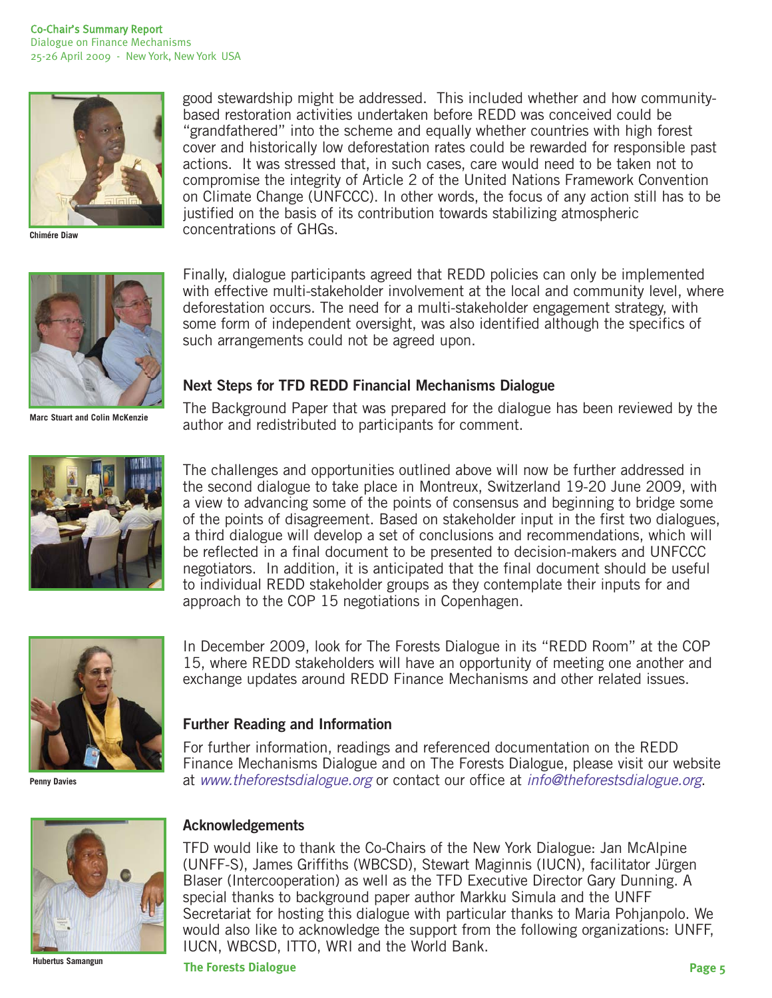

**Chimére Diaw**



Finally, dialogue participants agreed that REDD policies can only be implemented with effective multi-stakeholder involvement at the local and community level, where deforestation occurs. The need for a multi-stakeholder engagement strategy, with some form of independent oversight, was also identified although the specifics of such arrangements could not be agreed upon.

good stewardship might be addressed. This included whether and how community-

based restoration activities undertaken before REDD was conceived could be "grandfathered" into the scheme and equally whether countries with high forest cover and historically low deforestation rates could be rewarded for responsible past actions. It was stressed that, in such cases, care would need to be taken not to compromise the integrity of Article 2 of the United Nations Framework Convention on Climate Change (UNFCCC). In other words, the focus of any action still has to be

justified on the basis of its contribution towards stabilizing atmospheric

## **Next Steps for TFD REDD Financial Mechanisms Dialogue**

**Marc Stuart and Colin McKenzie**

The Background Paper that was prepared for the dialogue has been reviewed by the author and redistributed to participants for comment.



The challenges and opportunities outlined above will now be further addressed in the second dialogue to take place in Montreux, Switzerland 19-20 June 2009, with a view to advancing some of the points of consensus and beginning to bridge some of the points of disagreement. Based on stakeholder input in the first two dialogues, a third dialogue will develop a set of conclusions and recommendations, which will be reflected in a final document to be presented to decision-makers and UNFCCC negotiators. In addition, it is anticipated that the final document should be useful to individual REDD stakeholder groups as they contemplate their inputs for and approach to the COP 15 negotiations in Copenhagen.



**Penny Davies**

**Hubertus Samangun**

In December 2009, look for The Forests Dialogue in its "REDD Room" at the COP 15, where REDD stakeholders will have an opportunity of meeting one another and exchange updates around REDD Finance Mechanisms and other related issues.

## **Further Reading and Information**

concentrations of GHGs.

For further information, readings and referenced documentation on the REDD Finance Mechanisms Dialogue and on The Forests Dialogue, please visit our website at www.theforestsdialogue.org or contact our office at info@theforestsdialogue.org.

### **Acknowledgements**

TFD would like to thank the Co-Chairs of the New York Dialogue: Jan McAlpine (UNFF-S), James Griffiths (WBCSD), Stewart Maginnis (IUCN), facilitator Jürgen Blaser (Intercooperation) as well as the TFD Executive Director Gary Dunning. A special thanks to background paper author Markku Simula and the UNFF Secretariat for hosting this dialogue with particular thanks to Maria Pohjanpolo. We would also like to acknowledge the support from the following organizations: UNFF, IUCN, WBCSD, ITTO, WRI and the World Bank.